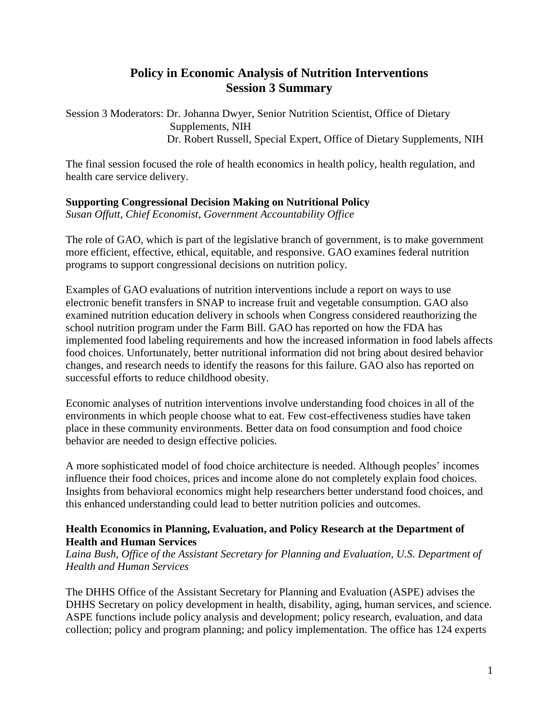## **Policy in Economic Analysis of Nutrition Interventions Session 3 Summary**

Session 3 Moderators: Dr. Johanna Dwyer, Senior Nutrition Scientist, Office of Dietary Supplements, NIH Dr. Robert Russell, Special Expert, Office of Dietary Supplements, NIH

The final session focused the role of health economics in health policy, health regulation, and health care service delivery.

### **Supporting Congressional Decision Making on Nutritional Policy**

*Susan Offutt, Chief Economist, Government Accountability Office*

The role of GAO, which is part of the legislative branch of government, is to make government more efficient, effective, ethical, equitable, and responsive. GAO examines federal nutrition programs to support congressional decisions on nutrition policy.

Examples of GAO evaluations of nutrition interventions include a report on ways to use electronic benefit transfers in SNAP to increase fruit and vegetable consumption. GAO also examined nutrition education delivery in schools when Congress considered reauthorizing the school nutrition program under the Farm Bill. GAO has reported on how the FDA has implemented food labeling requirements and how the increased information in food labels affects food choices. Unfortunately, better nutritional information did not bring about desired behavior changes, and research needs to identify the reasons for this failure. GAO also has reported on successful efforts to reduce childhood obesity.

Economic analyses of nutrition interventions involve understanding food choices in all of the environments in which people choose what to eat. Few cost-effectiveness studies have taken place in these community environments. Better data on food consumption and food choice behavior are needed to design effective policies.

A more sophisticated model of food choice architecture is needed. Although peoples' incomes influence their food choices, prices and income alone do not completely explain food choices. Insights from behavioral economics might help researchers better understand food choices, and this enhanced understanding could lead to better nutrition policies and outcomes.

### **Health Economics in Planning, Evaluation, and Policy Research at the Department of Health and Human Services**

*Laina Bush, Office of the Assistant Secretary for Planning and Evaluation, U.S. Department of Health and Human Services*

The DHHS Office of the Assistant Secretary for Planning and Evaluation (ASPE) advises the DHHS Secretary on policy development in health, disability, aging, human services, and science. ASPE functions include policy analysis and development; policy research, evaluation, and data collection; policy and program planning; and policy implementation. The office has 124 experts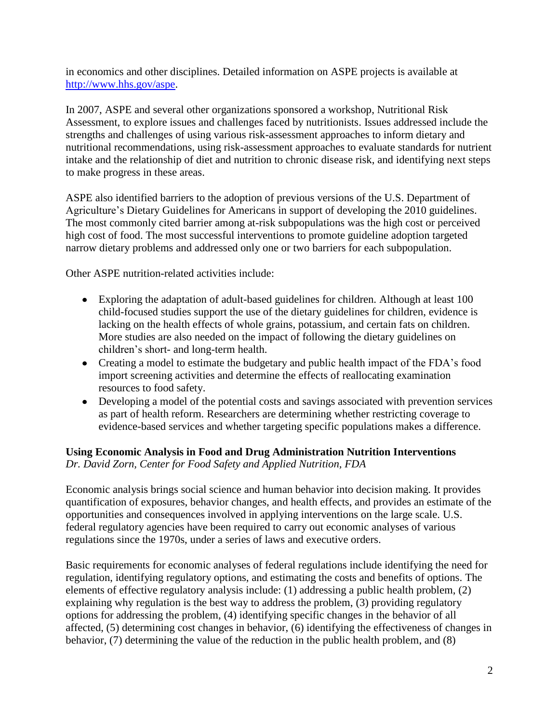in economics and other disciplines. Detailed information on ASPE projects is available at [http://www.hhs.gov/aspe.](http://www.hhs.gov/aspe)

In 2007, ASPE and several other organizations sponsored a workshop, Nutritional Risk Assessment, to explore issues and challenges faced by nutritionists. Issues addressed include the strengths and challenges of using various risk-assessment approaches to inform dietary and nutritional recommendations, using risk-assessment approaches to evaluate standards for nutrient intake and the relationship of diet and nutrition to chronic disease risk, and identifying next steps to make progress in these areas.

ASPE also identified barriers to the adoption of previous versions of the U.S. Department of Agriculture's Dietary Guidelines for Americans in support of developing the 2010 guidelines. The most commonly cited barrier among at-risk subpopulations was the high cost or perceived high cost of food. The most successful interventions to promote guideline adoption targeted narrow dietary problems and addressed only one or two barriers for each subpopulation.

Other ASPE nutrition-related activities include:

- Exploring the adaptation of adult-based guidelines for children. Although at least 100 child-focused studies support the use of the dietary guidelines for children, evidence is lacking on the health effects of whole grains, potassium, and certain fats on children. More studies are also needed on the impact of following the dietary guidelines on children's short- and long-term health.
- Creating a model to estimate the budgetary and public health impact of the FDA's food import screening activities and determine the effects of reallocating examination resources to food safety.
- Developing a model of the potential costs and savings associated with prevention services as part of health reform. Researchers are determining whether restricting coverage to evidence-based services and whether targeting specific populations makes a difference.

## **Using Economic Analysis in Food and Drug Administration Nutrition Interventions** *Dr. David Zorn, Center for Food Safety and Applied Nutrition, FDA*

Economic analysis brings social science and human behavior into decision making. It provides quantification of exposures, behavior changes, and health effects, and provides an estimate of the opportunities and consequences involved in applying interventions on the large scale. U.S. federal regulatory agencies have been required to carry out economic analyses of various regulations since the 1970s, under a series of laws and executive orders.

Basic requirements for economic analyses of federal regulations include identifying the need for regulation, identifying regulatory options, and estimating the costs and benefits of options. The elements of effective regulatory analysis include: (1) addressing a public health problem, (2) explaining why regulation is the best way to address the problem, (3) providing regulatory options for addressing the problem, (4) identifying specific changes in the behavior of all affected, (5) determining cost changes in behavior, (6) identifying the effectiveness of changes in behavior, (7) determining the value of the reduction in the public health problem, and (8)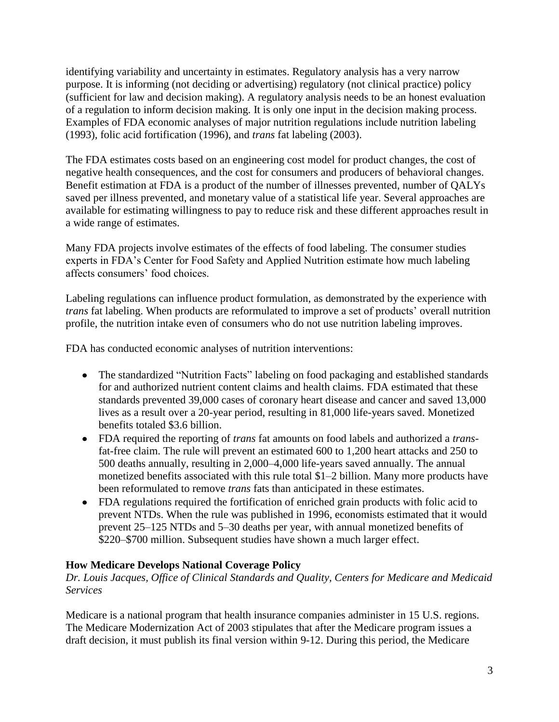identifying variability and uncertainty in estimates. Regulatory analysis has a very narrow purpose. It is informing (not deciding or advertising) regulatory (not clinical practice) policy (sufficient for law and decision making). A regulatory analysis needs to be an honest evaluation of a regulation to inform decision making. It is only one input in the decision making process. Examples of FDA economic analyses of major nutrition regulations include nutrition labeling (1993), folic acid fortification (1996), and *trans* fat labeling (2003).

The FDA estimates costs based on an engineering cost model for product changes, the cost of negative health consequences, and the cost for consumers and producers of behavioral changes. Benefit estimation at FDA is a product of the number of illnesses prevented, number of QALYs saved per illness prevented, and monetary value of a statistical life year. Several approaches are available for estimating willingness to pay to reduce risk and these different approaches result in a wide range of estimates.

Many FDA projects involve estimates of the effects of food labeling. The consumer studies experts in FDA's Center for Food Safety and Applied Nutrition estimate how much labeling affects consumers' food choices.

Labeling regulations can influence product formulation, as demonstrated by the experience with *trans* fat labeling. When products are reformulated to improve a set of products' overall nutrition profile, the nutrition intake even of consumers who do not use nutrition labeling improves.

FDA has conducted economic analyses of nutrition interventions:

- The standardized "Nutrition Facts" labeling on food packaging and established standards for and authorized nutrient content claims and health claims. FDA estimated that these standards prevented 39,000 cases of coronary heart disease and cancer and saved 13,000 lives as a result over a 20-year period, resulting in 81,000 life-years saved. Monetized benefits totaled \$3.6 billion.
- FDA required the reporting of *trans* fat amounts on food labels and authorized a *trans*fat-free claim. The rule will prevent an estimated 600 to 1,200 heart attacks and 250 to 500 deaths annually, resulting in 2,000–4,000 life-years saved annually. The annual monetized benefits associated with this rule total \$1–2 billion. Many more products have been reformulated to remove *trans* fats than anticipated in these estimates.
- FDA regulations required the fortification of enriched grain products with folic acid to prevent NTDs. When the rule was published in 1996, economists estimated that it would prevent 25–125 NTDs and 5–30 deaths per year, with annual monetized benefits of \$220–\$700 million. Subsequent studies have shown a much larger effect.

### **How Medicare Develops National Coverage Policy**

*Dr. Louis Jacques, Office of Clinical Standards and Quality, Centers for Medicare and Medicaid Services*

Medicare is a national program that health insurance companies administer in 15 U.S. regions. The Medicare Modernization Act of 2003 stipulates that after the Medicare program issues a draft decision, it must publish its final version within 9-12. During this period, the Medicare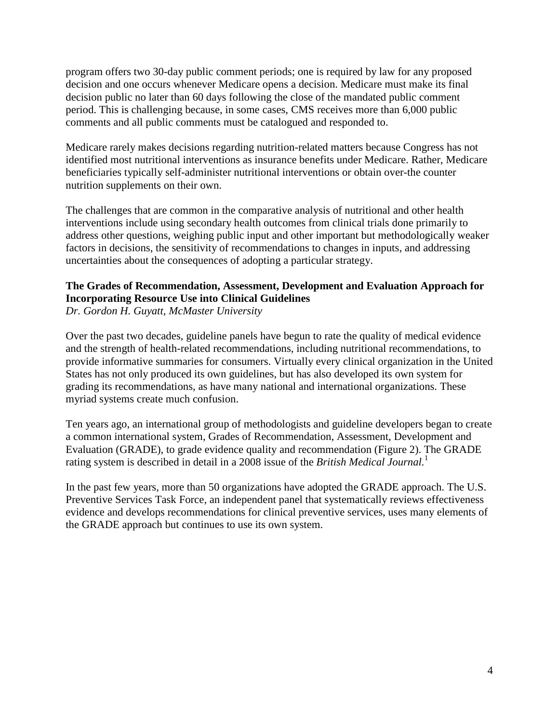program offers two 30-day public comment periods; one is required by law for any proposed decision and one occurs whenever Medicare opens a decision. Medicare must make its final decision public no later than 60 days following the close of the mandated public comment period. This is challenging because, in some cases, CMS receives more than 6,000 public comments and all public comments must be catalogued and responded to.

Medicare rarely makes decisions regarding nutrition-related matters because Congress has not identified most nutritional interventions as insurance benefits under Medicare. Rather, Medicare beneficiaries typically self-administer nutritional interventions or obtain over-the counter nutrition supplements on their own.

The challenges that are common in the comparative analysis of nutritional and other health interventions include using secondary health outcomes from clinical trials done primarily to address other questions, weighing public input and other important but methodologically weaker factors in decisions, the sensitivity of recommendations to changes in inputs, and addressing uncertainties about the consequences of adopting a particular strategy.

### **The Grades of Recommendation, Assessment, Development and Evaluation Approach for Incorporating Resource Use into Clinical Guidelines** *Dr. Gordon H. Guyatt, McMaster University*

Over the past two decades, guideline panels have begun to rate the quality of medical evidence and the strength of health-related recommendations, including nutritional recommendations, to provide informative summaries for consumers. Virtually every clinical organization in the United States has not only produced its own guidelines, but has also developed its own system for grading its recommendations, as have many national and international organizations. These myriad systems create much confusion.

Ten years ago, an international group of methodologists and guideline developers began to create a common international system, Grades of Recommendation, Assessment, Development and Evaluation (GRADE), to grade evidence quality and recommendation (Figure 2). The GRADE rating system is described in detail in a 2008 issue of the *British Medical Journal.*<sup>1</sup>

In the past few years, more than 50 organizations have adopted the GRADE approach. The U.S. Preventive Services Task Force, an independent panel that systematically reviews effectiveness evidence and develops recommendations for clinical preventive services, uses many elements of the GRADE approach but continues to use its own system.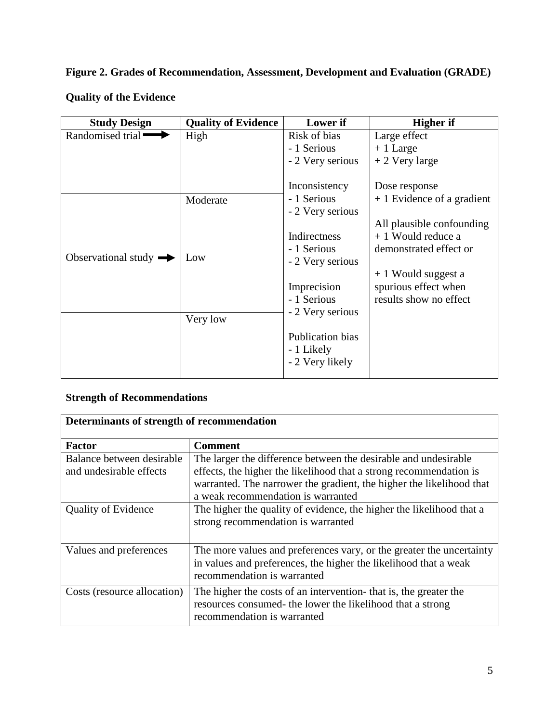# **Figure 2. Grades of Recommendation, Assessment, Development and Evaluation (GRADE)**

| <b>Study Design</b>               | <b>Quality of Evidence</b>  | Lower if                                                                                            | <b>Higher</b> if                                                           |
|-----------------------------------|-----------------------------|-----------------------------------------------------------------------------------------------------|----------------------------------------------------------------------------|
| Randomised trial                  | High                        | Risk of bias                                                                                        | Large effect                                                               |
|                                   |                             | - 1 Serious                                                                                         | $+1$ Large                                                                 |
|                                   |                             | - 2 Very serious                                                                                    | $+2$ Very large                                                            |
|                                   | Moderate                    | Inconsistency<br>- 1 Serious                                                                        | Dose response<br>$+1$ Evidence of a gradient                               |
|                                   |                             | - 2 Very serious                                                                                    |                                                                            |
|                                   | Indirectness<br>- 1 Serious |                                                                                                     | All plausible confounding<br>$+1$ Would reduce a<br>demonstrated effect or |
| Observational study $\rightarrow$ | Low                         | - 2 Very serious                                                                                    |                                                                            |
|                                   | Very low                    | Imprecision<br>- 1 Serious<br>- 2 Very serious<br>Publication bias<br>- 1 Likely<br>- 2 Very likely | $+1$ Would suggest a<br>spurious effect when<br>results show no effect     |

# **Quality of the Evidence**

## **Strength of Recommendations**

| Determinants of strength of recommendation           |                                                                                                                                                                         |  |  |
|------------------------------------------------------|-------------------------------------------------------------------------------------------------------------------------------------------------------------------------|--|--|
| <b>Factor</b>                                        | <b>Comment</b>                                                                                                                                                          |  |  |
| Balance between desirable<br>and undesirable effects | The larger the difference between the desirable and undesirable<br>effects, the higher the likelihood that a strong recommendation is                                   |  |  |
|                                                      | warranted. The narrower the gradient, the higher the likelihood that<br>a weak recommendation is warranted                                                              |  |  |
| <b>Quality of Evidence</b>                           | The higher the quality of evidence, the higher the likelihood that a<br>strong recommendation is warranted                                                              |  |  |
| Values and preferences                               | The more values and preferences vary, or the greater the uncertainty<br>in values and preferences, the higher the likelihood that a weak<br>recommendation is warranted |  |  |
| Costs (resource allocation)                          | The higher the costs of an intervention- that is, the greater the<br>resources consumed- the lower the likelihood that a strong<br>recommendation is warranted          |  |  |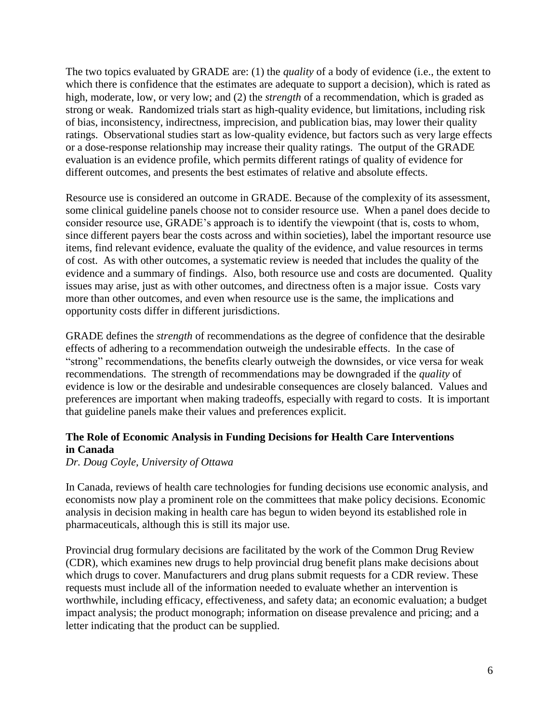The two topics evaluated by GRADE are: (1) the *quality* of a body of evidence (i.e., the extent to which there is confidence that the estimates are adequate to support a decision), which is rated as high, moderate, low, or very low; and (2) the *strength* of a recommendation, which is graded as strong or weak. Randomized trials start as high-quality evidence, but limitations, including risk of bias, inconsistency, indirectness, imprecision, and publication bias, may lower their quality ratings. Observational studies start as low-quality evidence, but factors such as very large effects or a dose-response relationship may increase their quality ratings. The output of the GRADE evaluation is an evidence profile, which permits different ratings of quality of evidence for different outcomes, and presents the best estimates of relative and absolute effects.

Resource use is considered an outcome in GRADE. Because of the complexity of its assessment, some clinical guideline panels choose not to consider resource use. When a panel does decide to consider resource use, GRADE's approach is to identify the viewpoint (that is, costs to whom, since different payers bear the costs across and within societies), label the important resource use items, find relevant evidence, evaluate the quality of the evidence, and value resources in terms of cost. As with other outcomes, a systematic review is needed that includes the quality of the evidence and a summary of findings. Also, both resource use and costs are documented. Quality issues may arise, just as with other outcomes, and directness often is a major issue. Costs vary more than other outcomes, and even when resource use is the same, the implications and opportunity costs differ in different jurisdictions.

GRADE defines the *strength* of recommendations as the degree of confidence that the desirable effects of adhering to a recommendation outweigh the undesirable effects. In the case of "strong" recommendations, the benefits clearly outweigh the downsides, or vice versa for weak recommendations. The strength of recommendations may be downgraded if the *quality* of evidence is low or the desirable and undesirable consequences are closely balanced. Values and preferences are important when making tradeoffs, especially with regard to costs. It is important that guideline panels make their values and preferences explicit.

## **The Role of Economic Analysis in Funding Decisions for Health Care Interventions in Canada**

*Dr. Doug Coyle, University of Ottawa*

In Canada, reviews of health care technologies for funding decisions use economic analysis, and economists now play a prominent role on the committees that make policy decisions. Economic analysis in decision making in health care has begun to widen beyond its established role in pharmaceuticals, although this is still its major use.

Provincial drug formulary decisions are facilitated by the work of the Common Drug Review (CDR), which examines new drugs to help provincial drug benefit plans make decisions about which drugs to cover. Manufacturers and drug plans submit requests for a CDR review. These requests must include all of the information needed to evaluate whether an intervention is worthwhile, including efficacy, effectiveness, and safety data; an economic evaluation; a budget impact analysis; the product monograph; information on disease prevalence and pricing; and a letter indicating that the product can be supplied.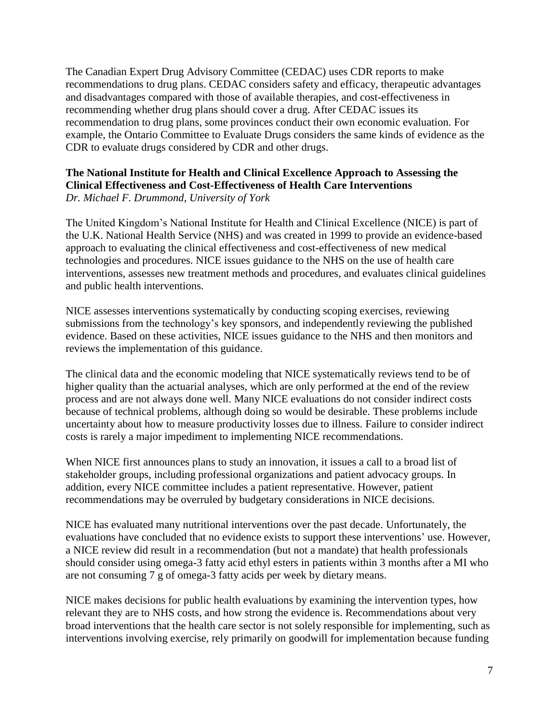The Canadian Expert Drug Advisory Committee (CEDAC) uses CDR reports to make recommendations to drug plans. CEDAC considers safety and efficacy, therapeutic advantages and disadvantages compared with those of available therapies, and cost-effectiveness in recommending whether drug plans should cover a drug. After CEDAC issues its recommendation to drug plans, some provinces conduct their own economic evaluation. For example, the Ontario Committee to Evaluate Drugs considers the same kinds of evidence as the CDR to evaluate drugs considered by CDR and other drugs.

#### **The National Institute for Health and Clinical Excellence Approach to Assessing the Clinical Effectiveness and Cost-Effectiveness of Health Care Interventions** *Dr. Michael F. Drummond, University of York*

The United Kingdom's National Institute for Health and Clinical Excellence (NICE) is part of the U.K. National Health Service (NHS) and was created in 1999 to provide an evidence-based approach to evaluating the clinical effectiveness and cost-effectiveness of new medical technologies and procedures. NICE issues guidance to the NHS on the use of health care interventions, assesses new treatment methods and procedures, and evaluates clinical guidelines and public health interventions.

NICE assesses interventions systematically by conducting scoping exercises, reviewing submissions from the technology's key sponsors, and independently reviewing the published evidence. Based on these activities, NICE issues guidance to the NHS and then monitors and reviews the implementation of this guidance.

The clinical data and the economic modeling that NICE systematically reviews tend to be of higher quality than the actuarial analyses, which are only performed at the end of the review process and are not always done well. Many NICE evaluations do not consider indirect costs because of technical problems, although doing so would be desirable. These problems include uncertainty about how to measure productivity losses due to illness. Failure to consider indirect costs is rarely a major impediment to implementing NICE recommendations.

When NICE first announces plans to study an innovation, it issues a call to a broad list of stakeholder groups, including professional organizations and patient advocacy groups. In addition, every NICE committee includes a patient representative. However, patient recommendations may be overruled by budgetary considerations in NICE decisions.

NICE has evaluated many nutritional interventions over the past decade. Unfortunately, the evaluations have concluded that no evidence exists to support these interventions' use. However, a NICE review did result in a recommendation (but not a mandate) that health professionals should consider using omega-3 fatty acid ethyl esters in patients within 3 months after a MI who are not consuming 7 g of omega-3 fatty acids per week by dietary means.

NICE makes decisions for public health evaluations by examining the intervention types, how relevant they are to NHS costs, and how strong the evidence is. Recommendations about very broad interventions that the health care sector is not solely responsible for implementing, such as interventions involving exercise, rely primarily on goodwill for implementation because funding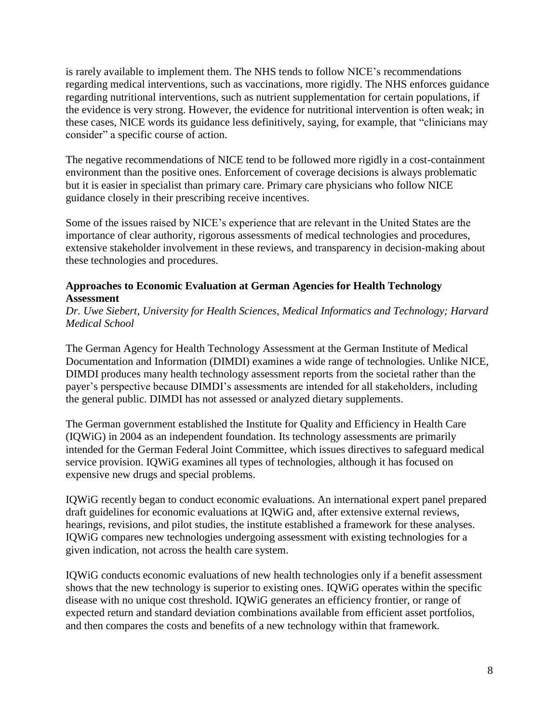is rarely available to implement them. The NHS tends to follow NICE's recommendations regarding medical interventions, such as vaccinations, more rigidly. The NHS enforces guidance regarding nutritional interventions, such as nutrient supplementation for certain populations, if the evidence is very strong. However, the evidence for nutritional intervention is often weak; in these cases, NICE words its guidance less definitively, saying, for example, that "clinicians may consider" a specific course of action.

The negative recommendations of NICE tend to be followed more rigidly in a cost-containment environment than the positive ones. Enforcement of coverage decisions is always problematic but it is easier in specialist than primary care. Primary care physicians who follow NICE guidance closely in their prescribing receive incentives.

Some of the issues raised by NICE's experience that are relevant in the United States are the importance of clear authority, rigorous assessments of medical technologies and procedures, extensive stakeholder involvement in these reviews, and transparency in decision-making about these technologies and procedures.

### **Approaches to Economic Evaluation at German Agencies for Health Technology Assessment**

*Dr. Uwe Siebert, University for Health Sciences, Medical Informatics and Technology; Harvard Medical School*

The German Agency for Health Technology Assessment at the German Institute of Medical Documentation and Information (DIMDI) examines a wide range of technologies. Unlike NICE, DIMDI produces many health technology assessment reports from the societal rather than the payer's perspective because DIMDI's assessments are intended for all stakeholders, including the general public. DIMDI has not assessed or analyzed dietary supplements.

The German government established the Institute for Quality and Efficiency in Health Care (IQWiG) in 2004 as an independent foundation. Its technology assessments are primarily intended for the German Federal Joint Committee, which issues directives to safeguard medical service provision. IQWiG examines all types of technologies, although it has focused on expensive new drugs and special problems.

IQWiG recently began to conduct economic evaluations. An international expert panel prepared draft guidelines for economic evaluations at IQWiG and, after extensive external reviews, hearings, revisions, and pilot studies, the institute established a framework for these analyses. IQWiG compares new technologies undergoing assessment with existing technologies for a given indication, not across the health care system.

IQWiG conducts economic evaluations of new health technologies only if a benefit assessment shows that the new technology is superior to existing ones. IQWiG operates within the specific disease with no unique cost threshold. IQWiG generates an efficiency frontier, or range of expected return and standard deviation combinations available from efficient asset portfolios, and then compares the costs and benefits of a new technology within that framework.